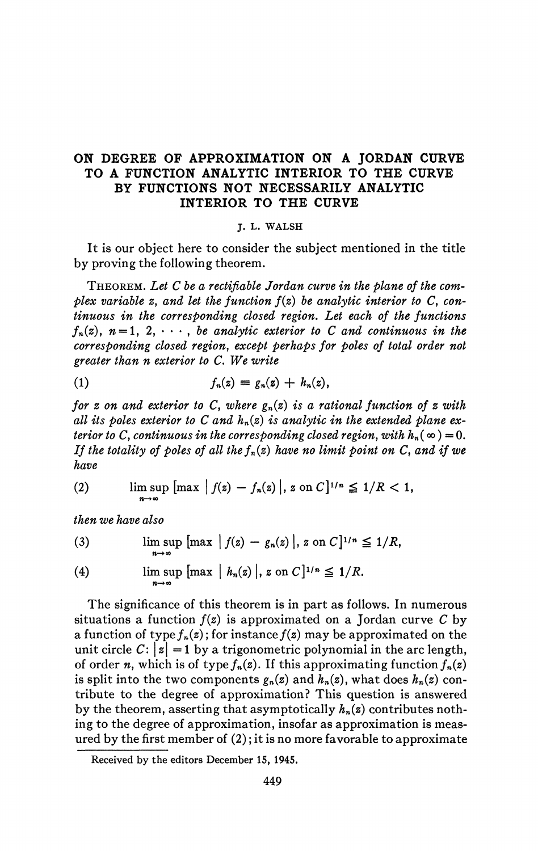## ON DEGREE OF APPROXIMATION ON A JORDAN CURVE TO A FUNCTION ANALYTIC INTERIOR TO THE CURVE BY FUNCTIONS NOT NECESSARILY ANALYTIC INTERIOR TO THE CURVE

## **J. L. WALSH**

It is our object here to consider the subject mentioned in the title by proving the following theorem.

THEOREM. Let C be a rectifiable Jordan curve in the plane of the com*plex variable z, and let the function f{z) be analytic interior to C, continuous in the corresponding closed region. Let each of the functions*   $f_n(z)$ ,  $n = 1, 2, \cdots$ , *be analytic exterior to C and continuous in the corresponding closed region, except perhaps for poles of total order not greater than n exterior to C. We write* 

$$
(1) \hspace{1cm} f_n(z) \equiv g_n(z) + h_n(z),
$$

*for z on and exterior to C, where*  $g_n(z)$  *is a rational function of z with all its poles exterior to C and hn(z) is analytic in the extended plane exterior to* C, continuous in the corresponding closed region, with  $h_n(\infty) = 0$ . *If the totality of poles of all thefn(z) have no limit point on C, and if we have* 

(2) 
$$
\limsup_{n \to \infty} [\max |f(z) - f_n(z)|, z \text{ on } C]^{1/n} \leq 1/R < 1,
$$

*then we have also* 

(3) 
$$
\limsup_{n \to \infty} \left[ \max |f(z) - g_n(z)|, z \text{ on } C \right]^{1/n} \leq 1/R,
$$

(4) 
$$
\limsup_{n \to \infty} \left[ \max |h_n(z)|, z \text{ on } C \right]^{1/n} \leq 1/R.
$$

The significance of this theorem is in part as follows. In numerous situations a function  $f(z)$  is approximated on a Jordan curve C by a function of type  $f_n(z)$ ; for instance  $f(z)$  may be approximated on the unit circle  $C: |z| = 1$  by a trigonometric polynomial in the arc length, of order *n*, which is of type  $f_n(z)$ . If this approximating function  $f_n(z)$ is split into the two components  $g_n(z)$  and  $h_n(z)$ , what does  $h_n(z)$  contribute to the degree of approximation? This question is answered by the theorem, asserting that asymptotically *hn(z)* contributes nothing to the degree of approximation, insofar as approximation is measured by the first member of (2) ; it is no more favorable to approximate

**Received by the editors December 15, 1945.**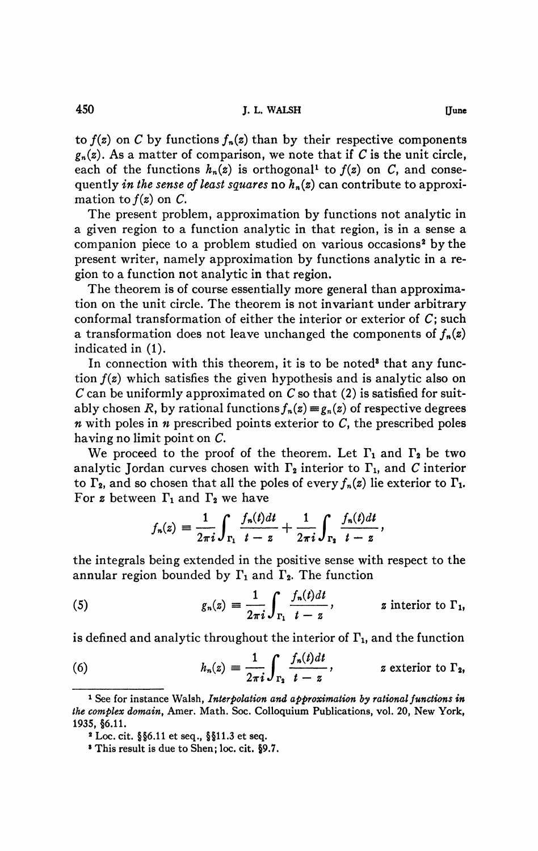to  $f(z)$  on C by functions  $f_n(z)$  than by their respective components  $g_n(z)$ . As a matter of comparison, we note that if C is the unit circle, each of the functions  $h_n(z)$  is orthogonal<sup>1</sup> to  $f(z)$  on C, and consequently *in the sense of least squares* no *hn{z)* can contribute to approximation to  $f(z)$  on  $C$ .

The present problem, approximation by functions not analytic in a given region to a function analytic in that region, is in a sense a companion piece to a problem studied on various occasions<sup>2</sup> by the present writer, namely approximation by functions analytic in a region to a function not analytic in that region.

The theorem is of course essentially more general than approximation on the unit circle. The theorem is not invariant under arbitrary conformal transformation of either the interior or exterior of  $C$ ; such a transformation does not leave unchanged the components of  $f_n(z)$ indicated in (1).

In connection with this theorem, it is to be noted<sup>8</sup> that any function *f(z)* which satisfies the given hypothesis and is analytic also on *C* can be uniformly approximated on *C* so that (2) is satisfied for suitably chosen R, by rational functions  $f_n(z) \equiv g_n(z)$  of respective degrees  $n$  with poles in  $n$  prescribed points exterior to  $C$ , the prescribed poles having no limit point on C.

We proceed to the proof of the theorem. Let  $\Gamma_1$  and  $\Gamma_2$  be two analytic Jordan curves chosen with  $\Gamma_2$  interior to  $\Gamma_1$ , and C interior to  $\Gamma_2$ , and so chosen that all the poles of every  $f_n(z)$  lie exterior to  $\Gamma_1$ . For z between  $\Gamma_1$  and  $\Gamma_2$  we have

$$
f_n(z) = \frac{1}{2\pi i} \int_{\Gamma_1} \frac{f_n(t)dt}{t-z} + \frac{1}{2\pi i} \int_{\Gamma_2} \frac{f_n(t)dt}{t-z},
$$

the integrals being extended in the positive sense with respect to the annular region bounded by  $\Gamma_1$  and  $\Gamma_2$ . The function

(5) 
$$
g_n(z) = \frac{1}{2\pi i} \int_{\Gamma_1} \frac{f_n(t)dt}{t-z}, \qquad z \text{ interior to } \Gamma_1,
$$

is defined and analytic throughout the interior of  $\Gamma_{1}$ , and the function

(6) 
$$
h_n(z) = \frac{1}{2\pi i} \int_{\Gamma_2} \frac{f_n(t)dt}{t-z}, \qquad z \text{ exterior to } \Gamma_2,
$$

**<sup>&</sup>lt;sup>1</sup>** See for instance Walsh, *Interpolation and approximation by rational functions in the complex domain^* **Amer. Math. Soc. Colloquium Publications, vol. 20, New York, 1935, §6.11.** 

**<sup>2</sup> Loc. cit. §§6.11 et seq., §§11.3 et seq.** 

**<sup>8</sup> This result is due to Shen; loc. cit. §9.7.**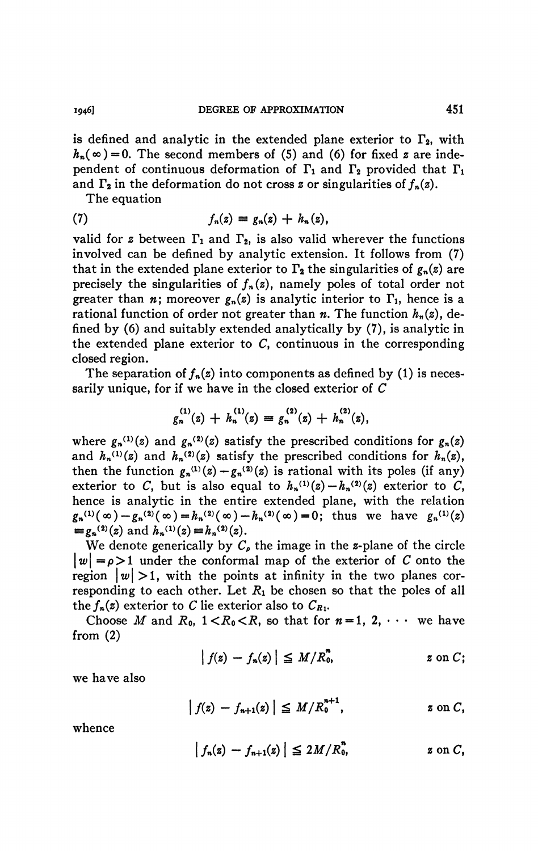is defined and analytic in the extended plane exterior to  $\Gamma_2$ , with  $h_n(\infty) = 0$ . The second members of (5) and (6) for fixed z are independent of continuous deformation of  $\Gamma_1$  and  $\Gamma_2$  provided that  $\Gamma_1$ and  $\Gamma_2$  in the deformation do not cross z or singularities of  $f_n(z)$ .

The equation

(7) 
$$
f_n(z) \equiv g_n(z) + h_n(z),
$$

valid for z between  $\Gamma_1$  and  $\Gamma_2$ , is also valid wherever the functions involved can be defined by analytic extension. It follows from (7) that in the extended plane exterior to  $\Gamma_2$  the singularities of  $g_n(z)$  are precisely the singularities of  $f_n(z)$ , namely poles of total order not greater than *n*; moreover  $g_n(z)$  is analytic interior to  $\Gamma_1$ , hence is a rational function of order not greater than  $n$ . The function  $h_n(z)$ , defined by (6) and suitably extended analytically by (7), is analytic in the extended plane exterior to  $C$ , continuous in the corresponding closed region.

The separation of  $f_n(z)$  into components as defined by (1) is necessarily unique, for if we have in the closed exterior of *C* 

$$
g_n^{(1)}(z) + h_n^{(1)}(z) \equiv g_n^{(2)}(z) + h_n^{(2)}(z),
$$

where  $g_n^{(1)}(z)$  and  $g_n^{(2)}(z)$  satisfy the prescribed conditions for  $g_n(z)$ and  $h_n^{(1)}(z)$  and  $h_n^{(2)}(z)$  satisfy the prescribed conditions for  $h_n(z)$ , then the function  $g_n^{(1)}(z) - g_n^{(2)}(z)$  is rational with its poles (if any) exterior to C, but is also equal to  $h_n^{(1)}(z) - h_n^{(2)}(z)$  exterior to C, hence is analytic in the entire extended plane, with the relation  $g_n^{(1)}(\infty) - g_n^{(2)}(\infty) = h_n^{(2)}(\infty) - h_n^{(2)}(\infty) = 0$ ; thus we have  $g_n^{(1)}(z)$  $\equiv g_n^{(2)}(z)$  and  $h_n^{(1)}(z) \equiv h_n^{(2)}(z)$ .

We denote generically by  $C_{\rho}$  the image in the *z*-plane of the circle  $|w| = \rho > 1$  under the conformal map of the exterior of C onto the region  $\vert w\vert >1$ , with the points at infinity in the two planes corresponding to each other. Let  $R_1$  be chosen so that the poles of all the  $f_n(z)$  exterior to C lie exterior also to  $C_{R_1}$ .

Choose *M* and  $R_0$ ,  $1 < R_0 < R$ , so that for  $n = 1, 2, \cdots$  we have from (2)

$$
\left| f(z) - f_n(z) \right| \leq M/R_0^n, \qquad z \text{ on } C;
$$

we have also

$$
|f(z) - f_{n+1}(z)| \leq M/R_0^{n+1},
$$
   
  $z \text{ on } C,$ 

whence

$$
|f_n(z) - f_{n+1}(z)| \le 2M/R_0^n
$$
,  $z \text{ on } C$ ,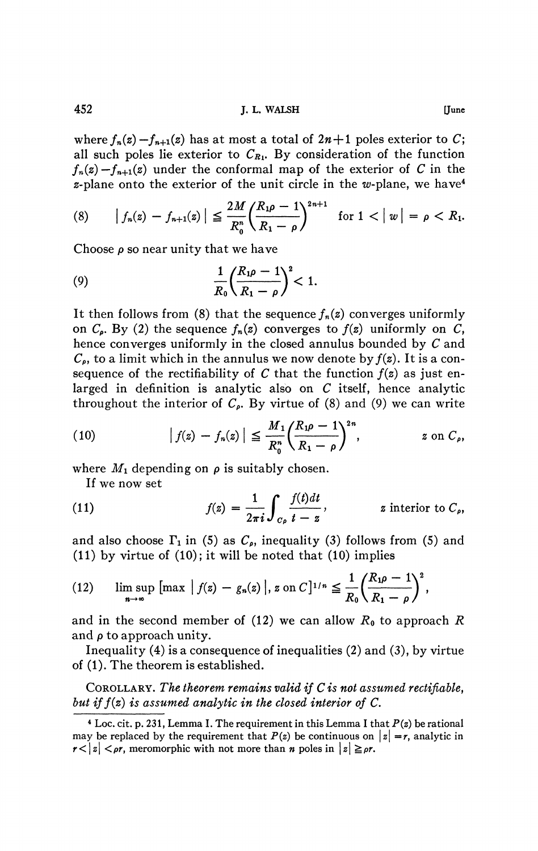452 **J, L. WALSH [June** 

where  $f_n(z) - f_{n+1}(z)$  has at most a total of  $2n+1$  poles exterior to C; all such poles lie exterior to  $C_{R_1}$ . By consideration of the function  $f_n(z) - f_{n+1}(z)$  under the conformal map of the exterior of *C* in the  $z$ -plane onto the exterior of the unit circle in the w-plane, we have<sup>4</sup>

(8) 
$$
|f_n(z) - f_{n+1}(z)| \le \frac{2M}{R_0^n} \left( \frac{R_1 \rho - 1}{R_1 - \rho} \right)^{2n+1}
$$
 for  $1 < |w| = \rho < R_1$ .

Choose  $\rho$  so near unity that we have

(9) 
$$
\frac{1}{R_0} \left( \frac{R_1 \rho - 1}{R_1 - \rho} \right)^2 < 1.
$$

It then follows from (8) that the sequence  $f_n(z)$  converges uniformly on  $C_p$ . By (2) the sequence  $f_n(z)$  converges to  $f(z)$  uniformly on  $C$ , hence converges uniformly in the closed annulus bounded by *C* and  $C_{\rho}$ , to a limit which in the annulus we now denote by  $f(z)$ . It is a consequence of the rectifiability of  $C$  that the function  $f(z)$  as just enlarged in definition is analytic also on *C* itself, hence analytic throughout the interior of  $C_{\rho}$ . By virtue of (8) and (9) we can write

(10) 
$$
|f(z) - f_n(z)| \leq \frac{M_1}{R_0^n} \left(\frac{R_1 \rho - 1}{R_1 - \rho}\right)^{2n}, \qquad z \text{ on } C_{\rho},
$$

where  $M_1$  depending on  $\rho$  is suitably chosen.

If we now set

(11) 
$$
f(z) = \frac{1}{2\pi i} \int_{C_{\rho}} \frac{f(t)dt}{t - z}, \qquad z \text{ interior to } C_{\rho},
$$

and also choose  $\Gamma_1$  in (5) as  $C_{\rho}$ , inequality (3) follows from (5) and  $(11)$  by virtue of  $(10)$ ; it will be noted that  $(10)$  implies

(12) 
$$
\limsup_{n \to \infty} \left[ \max |f(z) - g_n(z)|, z \text{ on } C \right]^{1/n} \leq \frac{1}{R_0} \left( \frac{R_1 \rho - 1}{R_1 - \rho} \right)^2,
$$

and in the second member of  $(12)$  we can allow  $R_0$  to approach  $R$ and  $\rho$  to approach unity.

Inequality (4) is a consequence of inequalities (2) and (3), by virtue of (1). The theorem is established.

COROLLARY. *The theorem remains valid if C is not assumed rectifiable, but iff(z) is assumed analytic in the closed interior of C.* 

**<sup>4</sup> Loc. cit. p. 231, Lemma I. The requirement in this Lemma I that** *P(z)* **be rational**  may be replaced by the requirement that  $P(z)$  be continuous on  $|z| = r$ , analytic in  $r<|z|<\rho r$ , meromorphic with not more than *n* poles in  $|z|\geq \rho r$ .